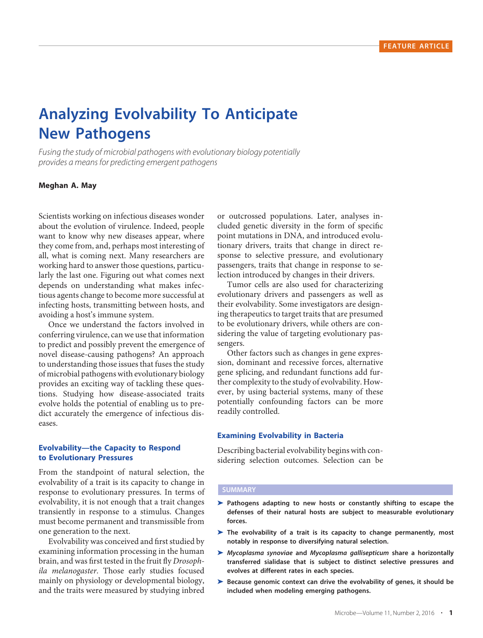# **Analyzing Evolvability To Anticipate New Pathogens**

*Fusing the study of microbial pathogens with evolutionary biology potentially provides a means for predicting emergent pathogens*

# **Meghan A. May**

Scientists working on infectious diseases wonder about the evolution of virulence. Indeed, people want to know why new diseases appear, where they come from, and, perhaps most interesting of all, what is coming next. Many researchers are working hard to answer those questions, particularly the last one. Figuring out what comes next depends on understanding what makes infectious agents change to become more successful at infecting hosts, transmitting between hosts, and avoiding a host's immune system.

Once we understand the factors involved in conferring virulence, can we use that information to predict and possibly prevent the emergence of novel disease-causing pathogens? An approach to understanding those issues that fuses the study of microbial pathogens with evolutionary biology provides an exciting way of tackling these questions. Studying how disease-associated traits evolve holds the potential of enabling us to predict accurately the emergence of infectious diseases.

## **Evolvability—the Capacity to Respond to Evolutionary Pressures**

From the standpoint of natural selection, the evolvability of a trait is its capacity to change in response to evolutionary pressures. In terms of evolvability, it is not enough that a trait changes transiently in response to a stimulus. Changes must become permanent and transmissible from one generation to the next.

Evolvability was conceived and fırst studied by examining information processing in the human brain, and was fırst tested in the fruit fly *Drosophila melanogaster*. Those early studies focused mainly on physiology or developmental biology, and the traits were measured by studying inbred or outcrossed populations. Later, analyses included genetic diversity in the form of specifıc point mutations in DNA, and introduced evolutionary drivers, traits that change in direct response to selective pressure, and evolutionary passengers, traits that change in response to selection introduced by changes in their drivers.

Tumor cells are also used for characterizing evolutionary drivers and passengers as well as their evolvability. Some investigators are designing therapeutics to target traits that are presumed to be evolutionary drivers, while others are considering the value of targeting evolutionary passengers.

Other factors such as changes in gene expression, dominant and recessive forces, alternative gene splicing, and redundant functions add further complexity to the study of evolvability. However, by using bacterial systems, many of these potentially confounding factors can be more readily controlled.

#### **Examining Evolvability in Bacteria**

Describing bacterial evolvability begins with considering selection outcomes. Selection can be

#### **SUMMARY**

- ➤ **Pathogens adapting to new hosts or constantly shifting to escape the defenses of their natural hosts are subject to measurable evolutionary forces.**
- ➤ **The evolvability of a trait is its capacity to change permanently, most notably in response to diversifying natural selection.**
- ➤ **Mycoplasma synoviae and Mycoplasma gallisepticum share a horizontally transferred sialidase that is subject to distinct selective pressures and evolves at different rates in each species.**
- ➤ **Because genomic context can drive the evolvability of genes, it should be included when modeling emerging pathogens.**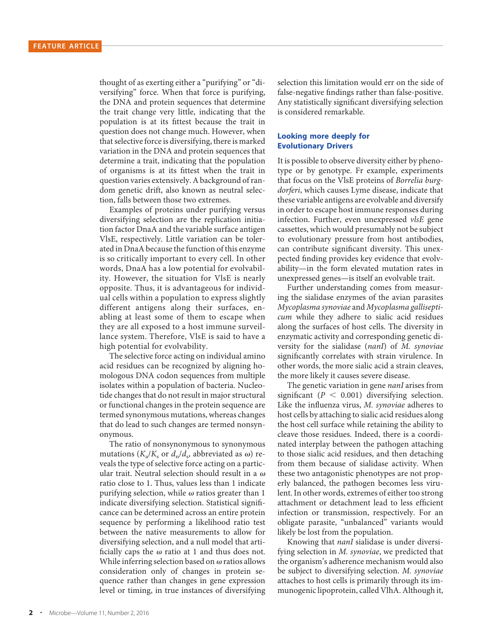thought of as exerting either a "purifying" or "diversifying" force. When that force is purifying, the DNA and protein sequences that determine the trait change very little, indicating that the population is at its fıttest because the trait in question does not change much. However, when that selective force is diversifying, there is marked variation in the DNA and protein sequences that determine a trait, indicating that the population of organisms is at its fıttest when the trait in question varies extensively. A background of random genetic drift, also known as neutral selection, falls between those two extremes.

Examples of proteins under purifying versus diversifying selection are the replication initiation factor DnaA and the variable surface antigen VlsE, respectively. Little variation can be tolerated in DnaA because the function of this enzyme is so critically important to every cell. In other words, DnaA has a low potential for evolvability. However, the situation for VlsE is nearly opposite. Thus, it is advantageous for individual cells within a population to express slightly different antigens along their surfaces, enabling at least some of them to escape when they are all exposed to a host immune surveillance system. Therefore, VlsE is said to have a high potential for evolvability.

The selective force acting on individual amino acid residues can be recognized by aligning homologous DNA codon sequences from multiple isolates within a population of bacteria. Nucleotide changes that do not result in major structural or functional changes in the protein sequence are termed synonymous mutations, whereas changes that do lead to such changes are termed nonsynonymous.

The ratio of nonsynonymous to synonymous mutations ( $K_a/K_s$  or  $d_n/d_s$ , abbreviated as  $\omega$ ) reveals the type of selective force acting on a particular trait. Neutral selection should result in a  $\omega$ ratio close to 1. Thus, values less than 1 indicate purifying selection, while  $\omega$  ratios greater than 1 indicate diversifying selection. Statistical signifıcance can be determined across an entire protein sequence by performing a likelihood ratio test between the native measurements to allow for diversifying selection, and a null model that artificially caps the  $\omega$  ratio at 1 and thus does not. While inferring selection based on  $\omega$  ratios allows consideration only of changes in protein sequence rather than changes in gene expression level or timing, in true instances of diversifying selection this limitation would err on the side of false-negative fındings rather than false-positive. Any statistically signifıcant diversifying selection is considered remarkable.

# **Looking more deeply for Evolutionary Drivers**

It is possible to observe diversity either by phenotype or by genotype. Fr example, experiments that focus on the VlsE proteins of *Borrelia burgdorferi*, which causes Lyme disease, indicate that these variable antigens are evolvable and diversify in order to escape host immune responses during infection. Further, even unexpressed *vlsE* gene cassettes, which would presumably not be subject to evolutionary pressure from host antibodies, can contribute signifıcant diversity. This unexpected fınding provides key evidence that evolvability—in the form elevated mutation rates in unexpressed genes—is itself an evolvable trait.

Further understanding comes from measuring the sialidase enzymes of the avian parasites *Mycoplasma synoviae* and *Mycoplasma gallisepticum* while they adhere to sialic acid residues along the surfaces of host cells. The diversity in enzymatic activity and corresponding genetic diversity for the sialidase (*nanI*) of *M. synoviae* significantly correlates with strain virulence. In other words, the more sialic acid a strain cleaves, the more likely it causes severe disease.

The genetic variation in gene *nanI* arises from significant ( $P < 0.001$ ) diversifying selection. Like the influenza virus, *M. synoviae* adheres to host cells by attaching to sialic acid residues along the host cell surface while retaining the ability to cleave those residues. Indeed, there is a coordinated interplay between the pathogen attaching to those sialic acid residues, and then detaching from them because of sialidase activity. When these two antagonistic phenotypes are not properly balanced, the pathogen becomes less virulent. In other words, extremes of either too strong attachment or detachment lead to less effıcient infection or transmission, respectively. For an obligate parasite, "unbalanced" variants would likely be lost from the population.

Knowing that *nanI* sialidase is under diversifying selection in *M. synoviae*, we predicted that the organism's adherence mechanism would also be subject to diversifying selection. *M. synoviae* attaches to host cells is primarily through its immunogenic lipoprotein, called VlhA. Although it,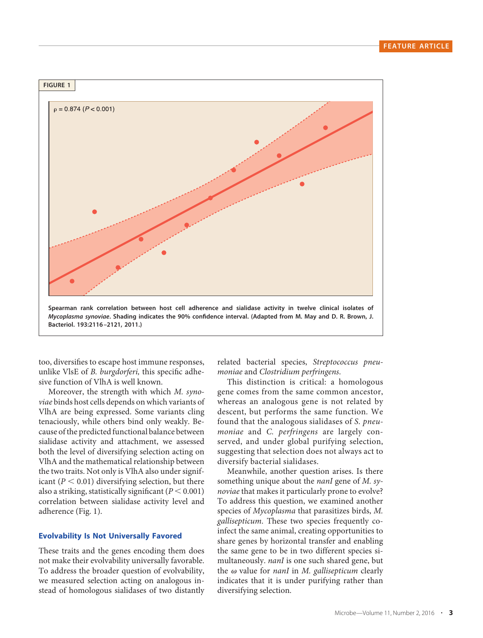

**Mycoplasma synoviae. Shading indicates the 90% confidence interval. (Adapted from M. May and D. R. Brown, J. Bacteriol. 193:2116 –2121, 2011.)**

too, diversifıes to escape host immune responses, unlike VlsE of *B. burgdorferi,* this specifıc adhesive function of VlhA is well known.

Moreover, the strength with which *M. synoviae* binds host cells depends on which variants of VlhA are being expressed. Some variants cling tenaciously, while others bind only weakly. Because of the predicted functional balance between sialidase activity and attachment, we assessed both the level of diversifying selection acting on VlhA and the mathematical relationship between the two traits. Not only is VlhA also under significant  $(P < 0.01)$  diversifying selection, but there also a striking, statistically significant  $(P < 0.001)$ correlation between sialidase activity level and adherence (Fig. 1).

### **Evolvability Is Not Universally Favored**

These traits and the genes encoding them does not make their evolvability universally favorable. To address the broader question of evolvability, we measured selection acting on analogous instead of homologous sialidases of two distantly related bacterial species, *Streptococcus pneumoniae* and *Clostridium perfringens*.

This distinction is critical: a homologous gene comes from the same common ancestor, whereas an analogous gene is not related by descent, but performs the same function. We found that the analogous sialidases of *S. pneumoniae* and *C. perfringens* are largely conserved, and under global purifying selection, suggesting that selection does not always act to diversify bacterial sialidases.

Meanwhile, another question arises. Is there something unique about the *nanI* gene of *M. synoviae* that makes it particularly prone to evolve? To address this question, we examined another species of *Mycoplasma* that parasitizes birds, *M. gallisepticum*. These two species frequently coinfect the same animal, creating opportunities to share genes by horizontal transfer and enabling the same gene to be in two different species simultaneously. *nanI* is one such shared gene, but the ω value for *nanI* in *M. gallisepticum* clearly indicates that it is under purifying rather than diversifying selection.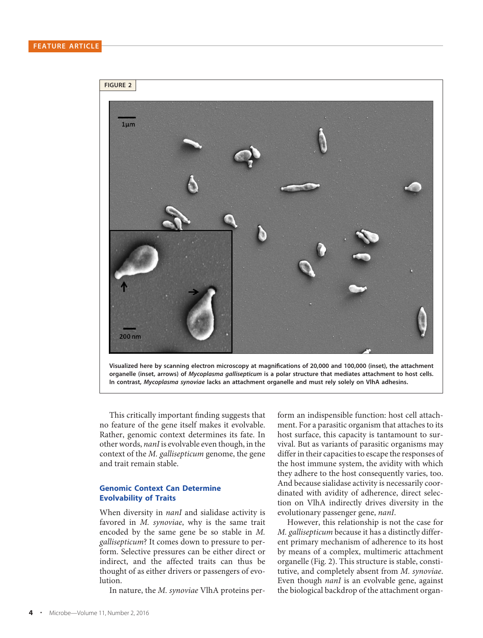

**Visualized here by scanning electron microscopy at magnifications of 20,000 and 100,000 (inset), the attachment organelle (inset, arrows) of Mycoplasma gallisepticum is a polar structure that mediates attachment to host cells. In contrast, Mycoplasma synoviae lacks an attachment organelle and must rely solely on VlhA adhesins.**

This critically important fınding suggests that no feature of the gene itself makes it evolvable. Rather, genomic context determines its fate. In other words, *nanI*is evolvable even though, in the context of the *M. gallisepticum* genome, the gene and trait remain stable.

# **Genomic Context Can Determine Evolvability of Traits**

When diversity in *nanI* and sialidase activity is favored in *M. synoviae*, why is the same trait encoded by the same gene be so stable in *M. gallisepticum*? It comes down to pressure to perform. Selective pressures can be either direct or indirect, and the affected traits can thus be thought of as either drivers or passengers of evolution.

In nature, the *M. synoviae* VlhA proteins per-

form an indispensible function: host cell attachment. For a parasitic organism that attaches to its host surface, this capacity is tantamount to survival. But as variants of parasitic organisms may differ in their capacities to escape the responses of the host immune system, the avidity with which they adhere to the host consequently varies, too. And because sialidase activity is necessarily coordinated with avidity of adherence, direct selection on VlhA indirectly drives diversity in the evolutionary passenger gene, *nanI*.

However, this relationship is not the case for *M. gallisepticum* because it has a distinctly different primary mechanism of adherence to its host by means of a complex, multimeric attachment organelle (Fig. 2). This structure is stable, constitutive, and completely absent from *M. synoviae*. Even though *nanI* is an evolvable gene, against the biological backdrop of the attachment organ